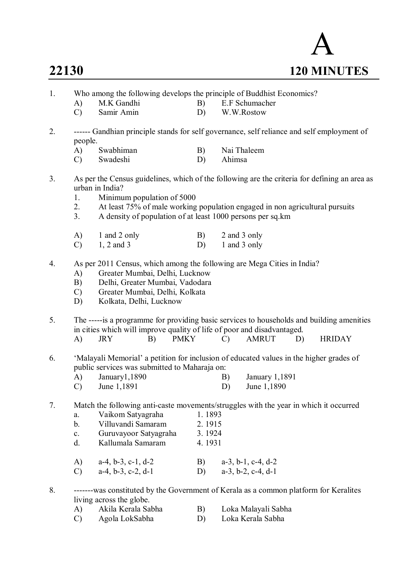

- 1. Who among the following develops the principle of Buddhist Economics?
	- A) M.K Gandhi B) E.F Schumacher<br>
	C) Samir Amin D) W.W.Rostow
		- D) W.W.Rostow
- 2. ------ Gandhian principle stands for self governance, self reliance and self employment of people.
	- A) Swabhiman B) Nai Thaleem
	- C) Swadeshi D) Ahimsa
- 3. As per the Census guidelines, which of the following are the criteria for defining an area as urban in India?
	- 1. Minimum population of 5000<br>2. At least 75% of male working
	- At least 75% of male working population engaged in non agricultural pursuits
	- 3. A density of population of at least 1000 persons per sq.km

| A)            | 1 and 2 only | B) | 2 and 3 only |
|---------------|--------------|----|--------------|
| $\mathcal{C}$ | $1, 2$ and 3 | D) | 1 and 3 only |

- 4. As per 2011 Census, which among the following are Mega Cities in India?
	- A) Greater Mumbai, Delhi, Lucknow
	- B) Delhi, Greater Mumbai, Vadodara
	- C) Greater Mumbai, Delhi, Kolkata
	- D) Kolkata, Delhi, Lucknow
- 5. The -----is a programme for providing basic services to households and building amenities in cities which will improve quality of life of poor and disadvantaged.
	- A) JRY B) PMKY C) AMRUT D) HRIDAY
- 6. 'Malayali Memorial' a petition for inclusion of educated values in the higher grades of public services was submitted to Maharaja on:
	- A) January1,1890 B) January 1,1891 C) June 1,1891 D) June 1,1890

#### 7. Match the following anti-caste movements/struggles with the year in which it occurred

| a.             | Vaikom Satyagraha     | 1.1893 |  |
|----------------|-----------------------|--------|--|
| $b$            | Villuvandi Samaram    | 2.1915 |  |
| $\mathbf{c}$ . | Guruvayoor Satyagraha | 3.1924 |  |
| <sub>d</sub>   | Kallumala Samaram     | 4.1931 |  |
|                |                       |        |  |

A) a-4, b-3, c-1, d-2 B) a-3, b-1, c-4, d-2 C)  $a-4, b-3, c-2, d-1$  D)  $a-3, b-2, c-4, d-1$ 

8. -------was constituted by the Government of Kerala as a common platform for Keralites living across the globe.

| A)     | Akila Kerala Sabha | Loka Malayali Sabha |
|--------|--------------------|---------------------|
| $\sim$ |                    |                     |

C) Agola LokSabha D) Loka Kerala Sabha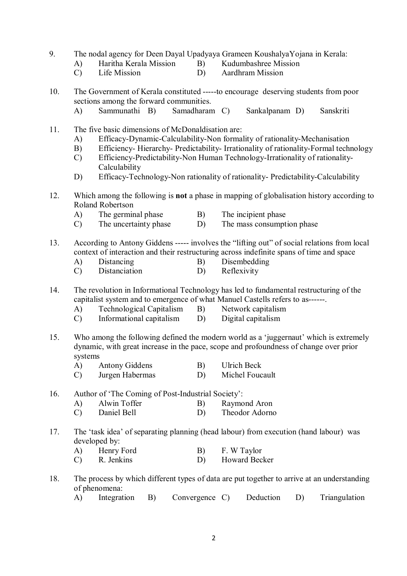- 9. The nodal agency for Deen Dayal Upadyaya Grameen KoushalyaYojana in Kerala:
	-
- 
- A) Haritha Kerala Mission B) Kudumbashree Mission<br>C) Life Mission D) Aardhram Mission C) Life Mission D) Aardhram Mission

10. The Government of Kerala constituted -----to encourage deserving students from poor sections among the forward communities.<br>A) Sammunathi B) Samadharan

- A) Sammunathi B) Samadharam C) Sankalpanam D) Sanskriti
- 11. The five basic dimensions of McDonaldisation are:
	- A) Efficacy-Dynamic-Calculability-Non formality of rationality-Mechanisation
	- B) Efficiency- Hierarchy- Predictability- Irrationality of rationality-Formal technology
	- C) Efficiency-Predictability-Non Human Technology-Irrationality of rationality-Calculability
	- D) Efficacy-Technology-Non rationality of rationality- Predictability-Calculability
- 12. Which among the following is **not** a phase in mapping of globalisation history according to Roland Robertson
	- A) The germinal phase B) The incipient phase<br>C) The uncertainty phase D) The mass consumpt
	- C) The uncertainty phase D) The mass consumption phase
- 13. According to Antony Giddens ----- involves the "lifting out" of social relations from local context of interaction and their restructuring across indefinite spans of time and space
	- A) Distancing B) Disembedding
	- C) Distanciation D) Reflexivity

14. The revolution in Informational Technology has led to fundamental restructuring of the capitalist system and to emergence of what Manuel Castells refers to as------.

- 
- A) Technological Capitalism B) Network capitalism<br>
C) Informational capitalism D) Digital capitalism Informational capitalism  $D$ )
- 15. Who among the following defined the modern world as a 'juggernaut' which is extremely dynamic, with great increase in the pace, scope and profoundness of change over prior systems
	- A) Antony Giddens B) Ulrich Beck
	- C) Jurgen Habermas D) Michel Foucault

16. Author of 'The Coming of Post-Industrial Society':

- A) Alwin Toffer B) Raymond Aron
- C) Daniel Bell D) Theodor Adorno
- 17. The 'task idea' of separating planning (head labour) from execution (hand labour) was developed by:
	- A) Henry Ford B) F. W Taylor
	- C) R. Jenkins D) Howard Becker
- 18. The process by which different types of data are put together to arrive at an understanding of phenomena:
	- A) Integration B) Convergence C) Deduction D) Triangulation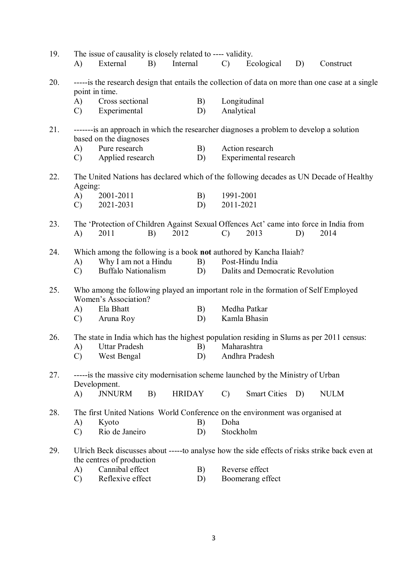| 19. |                                                                                                                      | The issue of causality is closely related to ---- validity. |    |               |    |               |                                                                                         |    |                                                                                                |  |  |  |
|-----|----------------------------------------------------------------------------------------------------------------------|-------------------------------------------------------------|----|---------------|----|---------------|-----------------------------------------------------------------------------------------|----|------------------------------------------------------------------------------------------------|--|--|--|
|     | A)                                                                                                                   | External                                                    | B) | Internal      |    | $\mathcal{C}$ | Ecological                                                                              | D) | Construct                                                                                      |  |  |  |
| 20. | ----- is the research design that entails the collection of data on more than one case at a single<br>point in time. |                                                             |    |               |    |               |                                                                                         |    |                                                                                                |  |  |  |
|     | A)                                                                                                                   | Cross sectional                                             |    |               | B) | Longitudinal  |                                                                                         |    |                                                                                                |  |  |  |
|     | $\mathcal{C}$                                                                                                        | Experimental                                                |    |               | D) | Analytical    |                                                                                         |    |                                                                                                |  |  |  |
| 21. | based on the diagnoses                                                                                               |                                                             |    |               |    |               | -------is an approach in which the researcher diagnoses a problem to develop a solution |    |                                                                                                |  |  |  |
|     | A)                                                                                                                   | Pure research                                               |    |               | B) |               | Action research                                                                         |    |                                                                                                |  |  |  |
|     | $\mathcal{C}$                                                                                                        | Applied research                                            |    |               | D) |               | Experimental research                                                                   |    |                                                                                                |  |  |  |
| 22. | The United Nations has declared which of the following decades as UN Decade of Healthy<br>Ageing:                    |                                                             |    |               |    |               |                                                                                         |    |                                                                                                |  |  |  |
|     | A)                                                                                                                   | 2001-2011                                                   |    |               | B) | 1991-2001     |                                                                                         |    |                                                                                                |  |  |  |
|     | $\mathcal{C}$                                                                                                        | 2021-2031                                                   |    |               | D) | 2011-2021     |                                                                                         |    |                                                                                                |  |  |  |
| 23. | A)                                                                                                                   | 2011                                                        | B) | 2012          |    | $\mathcal{C}$ | 2013                                                                                    | D) | The 'Protection of Children Against Sexual Offences Act' came into force in India from<br>2014 |  |  |  |
| 24. |                                                                                                                      |                                                             |    |               |    |               | Which among the following is a book not authored by Kancha Ilaiah?                      |    |                                                                                                |  |  |  |
|     | A)                                                                                                                   | Why I am not a Hindu                                        |    |               | B) |               | Post-Hindu India                                                                        |    |                                                                                                |  |  |  |
|     | $\mathcal{C}$                                                                                                        | <b>Buffalo Nationalism</b>                                  |    |               | D) |               | Dalits and Democratic Revolution                                                        |    |                                                                                                |  |  |  |
|     |                                                                                                                      |                                                             |    |               |    |               |                                                                                         |    |                                                                                                |  |  |  |
| 25. |                                                                                                                      | Women's Association?                                        |    |               |    |               | Who among the following played an important role in the formation of Self Employed      |    |                                                                                                |  |  |  |
|     | A)                                                                                                                   | Ela Bhatt                                                   |    |               | B) |               | Medha Patkar                                                                            |    |                                                                                                |  |  |  |
|     | $\mathcal{C}$                                                                                                        | Aruna Roy                                                   |    |               | D) |               | Kamla Bhasin                                                                            |    |                                                                                                |  |  |  |
| 26. | The state in India which has the highest population residing in Slums as per 2011 census:                            |                                                             |    |               |    |               |                                                                                         |    |                                                                                                |  |  |  |
|     | A)                                                                                                                   | <b>Uttar Pradesh</b>                                        |    |               | B) | Maharashtra   |                                                                                         |    |                                                                                                |  |  |  |
|     |                                                                                                                      | West Bengal                                                 |    |               | D) |               | Andhra Pradesh                                                                          |    |                                                                                                |  |  |  |
| 27. |                                                                                                                      | Development.                                                |    |               |    |               | -----is the massive city modernisation scheme launched by the Ministry of Urban         |    |                                                                                                |  |  |  |
|     | A)                                                                                                                   | <b>JNNURM</b>                                               | B) | <b>HRIDAY</b> |    | $\mathcal{C}$ | Smart Cities D)                                                                         |    | <b>NULM</b>                                                                                    |  |  |  |
| 28. |                                                                                                                      |                                                             |    |               |    |               | The first United Nations World Conference on the environment was organised at           |    |                                                                                                |  |  |  |
|     | A)                                                                                                                   | Kyoto                                                       |    |               | B) | Doha          |                                                                                         |    |                                                                                                |  |  |  |
|     | $\mathcal{C}$                                                                                                        | Rio de Janeiro                                              |    |               | D) | Stockholm     |                                                                                         |    |                                                                                                |  |  |  |
| 29. |                                                                                                                      | the centres of production                                   |    |               |    |               |                                                                                         |    | Ulrich Beck discusses about -----to analyse how the side effects of risks strike back even at  |  |  |  |
|     | A)                                                                                                                   | Cannibal effect                                             |    |               | B) |               | Reverse effect                                                                          |    |                                                                                                |  |  |  |
|     | $\mathcal{C}$                                                                                                        | Reflexive effect                                            |    |               | D) |               | Boomerang effect                                                                        |    |                                                                                                |  |  |  |
|     |                                                                                                                      |                                                             |    |               |    |               |                                                                                         |    |                                                                                                |  |  |  |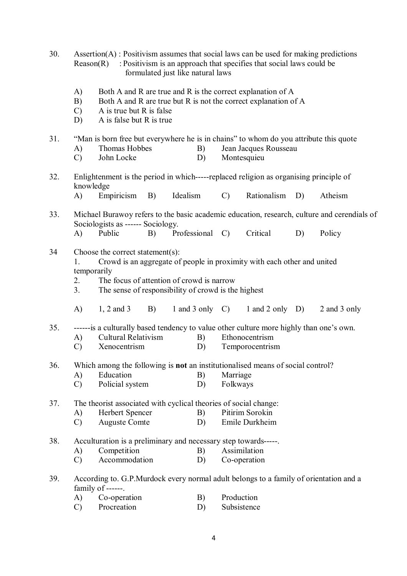- 30. Assertion(A) : Positivism assumes that social laws can be used for making predictions Reason $(R)$ : Positivism is an approach that specifies that social laws could be formulated just like natural laws
	- A) Both A and R are true and R is the correct explanation of A
	- B) Both A and R are true but R is not the correct explanation of A
	- C) A is true but R is false
	- D) A is false but R is true

### 31. "Man is born free but everywhere he is in chains" to whom do you attribute this quote

- A) Thomas Hobbes B) Jean Jacques Rousseau
- C) John Locke D) Montesquieu
- 32. Enlightenment is the period in which-----replaced religion as organising principle of knowledge
	- A) Empiricism B) Idealism C) Rationalism D) Atheism
- 33. Michael Burawoy refers to the basic academic education, research, culture and cerendials of Sociologists as ------ Sociology. A) Public B) Professional C) Critical D) Policy

## 34 Choose the correct statement(s):

- 1. Crowd is an aggregate of people in proximity with each other and united temporarily
- 2. The focus of attention of crowd is narrow
- 3. The sense of responsibility of crowd is the highest
- A) 1, 2 and 3 B) 1 and 3 only C) 1 and 2 only D) 2 and 3 only

35. ------is a culturally based tendency to value other culture more highly than one's own.

- A) Cultural Relativism B) Ethonocentrism<br>
C) Xenocentrism D) Temporocentrism
- C) Xenocentrism D) Temporocentrism
- 36. Which among the following is **not** an institutionalised means of social control?
	- A) Education B) Marriage
	- C) Policial system D) Folkways

# 37. The theorist associated with cyclical theories of social change:<br>
A) Herbert Spencer B) Pitirim Sorokin

- A) Herbert Spencer B)
- C) Auguste Comte D) Emile Durkheim
- 38. Acculturation is a preliminary and necessary step towards-----.
	- A) Competition B) Assimilation
	- C) Accommodation D) Co-operation
- 39. According to. G.P.Murdock every normal adult belongs to a family of orientation and a family of ------.
	- A) Co-operation B) Production
	- C) Procreation D) Subsistence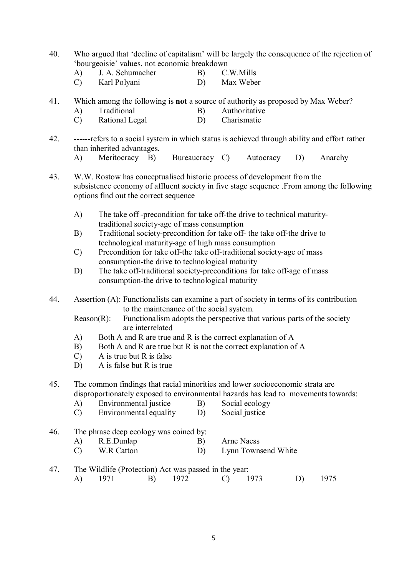- 40. Who argued that 'decline of capitalism' will be largely the consequence of the rejection of 'bourgeoisie' values, not economic breakdown<br>A) J A Schumacher B) C W Mills
	- A) J. A. Schumacher B)

C) Karl Polyani D) Max Weber

- 41. Which among the following is **not** a source of authority as proposed by Max Weber?
	- A) Traditional B) Authoritative
	- C) Rational Legal D) Charismatic
- 42. ------refers to a social system in which status is achieved through ability and effort rather than inherited advantages.
	- A) Meritocracy B) Bureaucracy C) Autocracy D) Anarchy
- 43. W.W. Rostow has conceptualised historic process of development from the subsistence economy of affluent society in five stage sequence .From among the following options find out the correct sequence
	- A) The take off -precondition for take off-the drive to technical maturitytraditional society-age of mass consumption
	- B) Traditional society-precondition for take off- the take off-the drive to technological maturity-age of high mass consumption
	- C) Precondition for take off-the take off-traditional society-age of mass consumption-the drive to technological maturity
	- D) The take off-traditional society-preconditions for take off-age of mass consumption-the drive to technological maturity
- 44. Assertion (A): Functionalists can examine a part of society in terms of its contribution to the maintenance of the social system.
	- Reason(R): Functionalism adopts the perspective that various parts of the society are interrelated
	- A) Both A and R are true and R is the correct explanation of A
	- B) Both A and R are true but R is not the correct explanation of A
	- C) A is true but R is false
	- D) A is false but R is true

45. The common findings that racial minorities and lower socioeconomic strata are disproportionately exposed to environmental hazards has lead to movements towards:

- A) Environmental justice B) Social ecology
- C) Environmental equality D) Social justice
- 46. The phrase deep ecology was coined by: A) R.E.Dunlap B) Arne Naess
	- C) W.R Catton D) Lynn Townsend White
- 47. The Wildlife (Protection) Act was passed in the year: A) 1971 B) 1972 C) 1973 D) 1975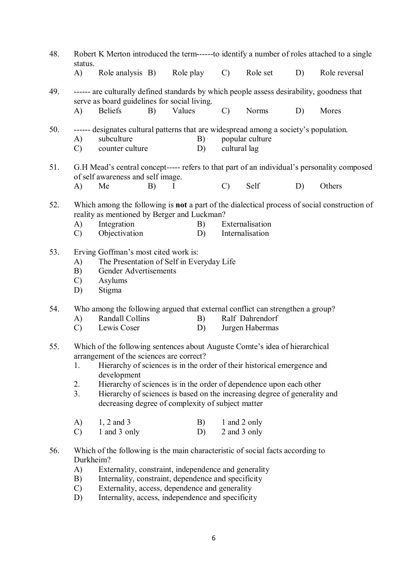| 48. | Robert K Merton introduced the term--------to identify a number of roles attached to a single<br>status.                                                                                                                                                    |                                                                                                                                                                                                       |    |           |          |                                                                                                                          |                                    |    |               |  |
|-----|-------------------------------------------------------------------------------------------------------------------------------------------------------------------------------------------------------------------------------------------------------------|-------------------------------------------------------------------------------------------------------------------------------------------------------------------------------------------------------|----|-----------|----------|--------------------------------------------------------------------------------------------------------------------------|------------------------------------|----|---------------|--|
|     | $\bf{A}$                                                                                                                                                                                                                                                    | Role analysis B)                                                                                                                                                                                      |    | Role play |          | $\mathcal{C}$                                                                                                            | Role set                           | D) | Role reversal |  |
| 49. |                                                                                                                                                                                                                                                             | ------ are culturally defined standards by which people assess desirability, goodness that<br>serve as board guidelines for social living.                                                            |    |           |          |                                                                                                                          |                                    |    |               |  |
|     | $\bf{A}$                                                                                                                                                                                                                                                    | <b>Beliefs</b>                                                                                                                                                                                        | B) | Values    |          | $\mathcal{C}$                                                                                                            | Norms                              | D) | Mores         |  |
| 50. | A)<br>$\mathcal{C}$                                                                                                                                                                                                                                         | subculture<br>counter culture                                                                                                                                                                         |    | B)<br>D)  |          | ------ designates cultural patterns that are widespread among a society's population.<br>popular culture<br>cultural lag |                                    |    |               |  |
| 51. | G.H Mead's central concept----- refers to that part of an individual's personality composed<br>of self awareness and self image.                                                                                                                            |                                                                                                                                                                                                       |    |           |          |                                                                                                                          |                                    |    |               |  |
|     | A)                                                                                                                                                                                                                                                          | Me                                                                                                                                                                                                    | B) | I         |          | $\mathcal{C}$                                                                                                            | Self                               | D) | Others        |  |
| 52. | Which among the following is <b>not</b> a part of the dialectical process of social construction of<br>reality as mentioned by Berger and Luckman?<br>Integration<br>Externalisation<br>A)<br>B)<br>Objectivation<br>Internalisation<br>$\mathcal{C}$<br>D) |                                                                                                                                                                                                       |    |           |          |                                                                                                                          |                                    |    |               |  |
| 53. | Erving Goffman's most cited work is:<br>The Presentation of Self in Everyday Life<br>A)<br>Gender Advertisements<br>B)<br>Asylums<br>$\mathcal{C}$<br>D)<br>Stigma                                                                                          |                                                                                                                                                                                                       |    |           |          |                                                                                                                          |                                    |    |               |  |
| 54. |                                                                                                                                                                                                                                                             | Who among the following argued that external conflict can strengthen a group?                                                                                                                         |    |           |          |                                                                                                                          |                                    |    |               |  |
|     | A)<br>$\mathcal{C}$                                                                                                                                                                                                                                         | Randall Collins<br>Lewis Coser                                                                                                                                                                        |    |           | B)<br>D) |                                                                                                                          | Ralf Dahrendorf<br>Jurgen Habermas |    |               |  |
| 55. | 1.                                                                                                                                                                                                                                                          | Which of the following sentences about Auguste Comte's idea of hierarchical<br>arrangement of the sciences are correct?<br>Hierarchy of sciences is in the order of their historical emergence and    |    |           |          |                                                                                                                          |                                    |    |               |  |
|     |                                                                                                                                                                                                                                                             | development                                                                                                                                                                                           |    |           |          |                                                                                                                          |                                    |    |               |  |
|     | 2.<br>3.                                                                                                                                                                                                                                                    | Hierarchy of sciences is in the order of dependence upon each other<br>Hierarchy of sciences is based on the increasing degree of generality and<br>decreasing degree of complexity of subject matter |    |           |          |                                                                                                                          |                                    |    |               |  |
|     | A)                                                                                                                                                                                                                                                          | 1, 2 and 3                                                                                                                                                                                            |    |           | B)       | 1 and 2 only                                                                                                             |                                    |    |               |  |
|     | $\mathcal{C}$                                                                                                                                                                                                                                               | 1 and 3 only                                                                                                                                                                                          |    |           | D)       | 2 and 3 only                                                                                                             |                                    |    |               |  |
| 56. | Durkheim?                                                                                                                                                                                                                                                   | Which of the following is the main characteristic of social facts according to                                                                                                                        |    |           |          |                                                                                                                          |                                    |    |               |  |
|     | A)                                                                                                                                                                                                                                                          | Externality, constraint, independence and generality                                                                                                                                                  |    |           |          |                                                                                                                          |                                    |    |               |  |
|     | Internality, constraint, dependence and specificity<br>B)<br>Externality, access, dependence and generality<br>$\mathcal{C}$                                                                                                                                |                                                                                                                                                                                                       |    |           |          |                                                                                                                          |                                    |    |               |  |

D) Internality, access, independence and specificity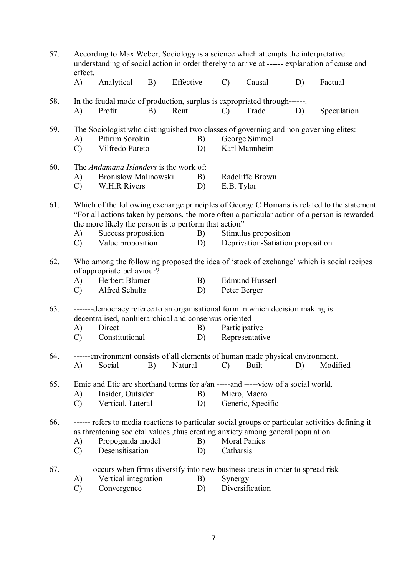| 57.                                                                                                                          | According to Max Weber, Sociology is a science which attempts the interpretative<br>understanding of social action in order thereby to arrive at ------ explanation of cause and<br>effect. |                                                                                                                                         |    |           |    |                      |                                   |    |                                                                                                   |  |  |
|------------------------------------------------------------------------------------------------------------------------------|---------------------------------------------------------------------------------------------------------------------------------------------------------------------------------------------|-----------------------------------------------------------------------------------------------------------------------------------------|----|-----------|----|----------------------|-----------------------------------|----|---------------------------------------------------------------------------------------------------|--|--|
|                                                                                                                              | A)                                                                                                                                                                                          | Analytical                                                                                                                              | B) | Effective |    | $\mathcal{C}$        | Causal                            | D) | Factual                                                                                           |  |  |
| 58.                                                                                                                          |                                                                                                                                                                                             | In the feudal mode of production, surplus is expropriated through------.                                                                |    |           |    |                      |                                   |    |                                                                                                   |  |  |
|                                                                                                                              | A)                                                                                                                                                                                          | Profit                                                                                                                                  | B) | Rent      |    | $\mathcal{C}$        | Trade                             | D) | Speculation                                                                                       |  |  |
| 59.                                                                                                                          |                                                                                                                                                                                             | The Sociologist who distinguished two classes of governing and non governing elites:                                                    |    |           |    |                      |                                   |    |                                                                                                   |  |  |
|                                                                                                                              | A)                                                                                                                                                                                          | Pitirim Sorokin                                                                                                                         |    | B)        |    |                      | George Simmel                     |    |                                                                                                   |  |  |
|                                                                                                                              | $\mathcal{C}$                                                                                                                                                                               | Vilfredo Pareto                                                                                                                         |    | D)        |    |                      | Karl Mannheim                     |    |                                                                                                   |  |  |
| 60.                                                                                                                          |                                                                                                                                                                                             | The Andamana Islanders is the work of:                                                                                                  |    |           |    |                      |                                   |    |                                                                                                   |  |  |
|                                                                                                                              | A)                                                                                                                                                                                          | <b>Bronislow Malinowski</b>                                                                                                             |    | B)        |    |                      | Radcliffe Brown                   |    |                                                                                                   |  |  |
|                                                                                                                              | $\mathcal{C}$                                                                                                                                                                               | W.H.R Rivers                                                                                                                            |    | D)        |    | E.B. Tylor           |                                   |    |                                                                                                   |  |  |
| 61.                                                                                                                          |                                                                                                                                                                                             |                                                                                                                                         |    |           |    |                      |                                   |    | Which of the following exchange principles of George C Homans is related to the statement         |  |  |
|                                                                                                                              | "For all actions taken by persons, the more often a particular action of a person is rewarded<br>the more likely the person is to perform that action"                                      |                                                                                                                                         |    |           |    |                      |                                   |    |                                                                                                   |  |  |
|                                                                                                                              |                                                                                                                                                                                             |                                                                                                                                         |    |           |    | Stimulus proposition |                                   |    |                                                                                                   |  |  |
|                                                                                                                              | A)                                                                                                                                                                                          | Success proposition                                                                                                                     |    | B)        |    |                      |                                   |    |                                                                                                   |  |  |
|                                                                                                                              | $\mathcal{C}$                                                                                                                                                                               | Value proposition                                                                                                                       |    | D)        |    |                      | Deprivation-Satiation proposition |    |                                                                                                   |  |  |
| 62.<br>Who among the following proposed the idea of 'stock of exchange' which is social recipes<br>of appropriate behaviour? |                                                                                                                                                                                             |                                                                                                                                         |    |           |    |                      |                                   |    |                                                                                                   |  |  |
|                                                                                                                              | A)                                                                                                                                                                                          | Herbert Blumer                                                                                                                          |    |           | B) |                      | <b>Edmund Husserl</b>             |    |                                                                                                   |  |  |
|                                                                                                                              | $\mathcal{C}$                                                                                                                                                                               | Alfred Schultz                                                                                                                          |    | D)        |    | Peter Berger         |                                   |    |                                                                                                   |  |  |
| 63.                                                                                                                          |                                                                                                                                                                                             | -------democracy referee to an organisational form in which decision making is<br>decentralised, nonhierarchical and consensus-oriented |    |           |    |                      |                                   |    |                                                                                                   |  |  |
|                                                                                                                              | A)                                                                                                                                                                                          | Direct                                                                                                                                  |    | B)        |    | Participative        |                                   |    |                                                                                                   |  |  |
|                                                                                                                              | $\mathcal{C}$                                                                                                                                                                               | Constitutional                                                                                                                          |    | D)        |    |                      | Representative                    |    |                                                                                                   |  |  |
|                                                                                                                              |                                                                                                                                                                                             |                                                                                                                                         |    |           |    |                      |                                   |    |                                                                                                   |  |  |
| 64.                                                                                                                          |                                                                                                                                                                                             | ------environment consists of all elements of human made physical environment.<br>Social                                                | B) | Natural   |    | $\mathcal{C}$        | <b>Built</b>                      | D) | Modified                                                                                          |  |  |
|                                                                                                                              | A)                                                                                                                                                                                          |                                                                                                                                         |    |           |    |                      |                                   |    |                                                                                                   |  |  |
| 65.                                                                                                                          |                                                                                                                                                                                             | Emic and Etic are shorthand terms for a/an -----and -----view of a social world.                                                        |    |           |    |                      |                                   |    |                                                                                                   |  |  |
|                                                                                                                              | A)                                                                                                                                                                                          | Insider, Outsider                                                                                                                       |    | B)        |    |                      | Micro, Macro                      |    |                                                                                                   |  |  |
|                                                                                                                              | $\mathcal{C}$                                                                                                                                                                               | Vertical, Lateral                                                                                                                       |    | D)        |    | Generic, Specific    |                                   |    |                                                                                                   |  |  |
| 66.                                                                                                                          |                                                                                                                                                                                             |                                                                                                                                         |    |           |    |                      |                                   |    | ------ refers to media reactions to particular social groups or particular activities defining it |  |  |
|                                                                                                                              |                                                                                                                                                                                             | as threatening societal values , thus creating anxiety among general population                                                         |    |           |    |                      |                                   |    |                                                                                                   |  |  |
|                                                                                                                              | A)                                                                                                                                                                                          | Propoganda model<br>B)                                                                                                                  |    |           |    |                      | <b>Moral Panics</b>               |    |                                                                                                   |  |  |
|                                                                                                                              | $\mathcal{C}$                                                                                                                                                                               | Desensitisation                                                                                                                         |    | D)        |    | Catharsis            |                                   |    |                                                                                                   |  |  |
| 67.                                                                                                                          |                                                                                                                                                                                             | ------occurs when firms diversify into new business areas in order to spread risk.                                                      |    |           |    |                      |                                   |    |                                                                                                   |  |  |
|                                                                                                                              | A)                                                                                                                                                                                          | Vertical integration                                                                                                                    |    | B)        |    | Synergy              |                                   |    |                                                                                                   |  |  |
|                                                                                                                              | $\mathcal{C}$                                                                                                                                                                               | Convergence                                                                                                                             |    | D)        |    | Diversification      |                                   |    |                                                                                                   |  |  |

7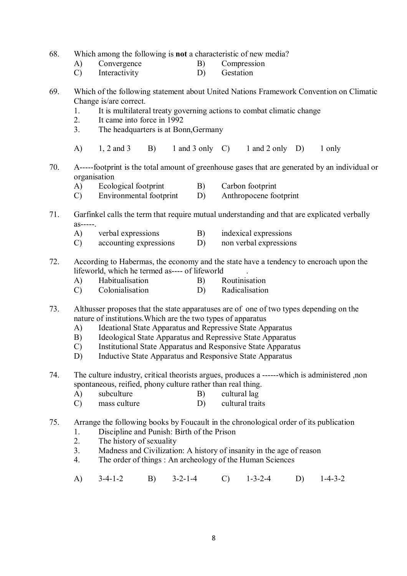- 68. Which among the following is **not** a characteristic of new media?
	- A) Convergence B) Compression<br>
	C) Interactivity D) Gestation
	- Interactivity  $D$ )
- 69. Which of the following statement about United Nations Framework Convention on Climatic Change is/are correct.
	- 1. It is multilateral treaty governing actions to combat climatic change
	- 2. It came into force in 1992
	- 3. The headquarters is at Bonn,Germany
	- A)  $1, 2$  and  $3$  B)  $1$  and  $3$  only C)  $1$  and  $2$  only D)  $1$  only
- 70. A-----footprint is the total amount of greenhouse gases that are generated by an individual or organisation
	- A) Ecological footprint B) Carbon footprint<br>
	C) Environmental footprint D) Anthropocene footprint
	- Environmental footprint
- 71. Garfinkel calls the term that require mutual understanding and that are explicated verbally as-----.
	- A) verbal expressions B) indexical expressions
	- C) accounting expressions D) non verbal expressions
- 72. According to Habermas, the economy and the state have a tendency to encroach upon the lifeworld, which he termed as---- of lifeworld .
	- A) Habitualisation B) Routinisation
	- C) Colonialisation D) Radicalisation
- 73. Althusser proposes that the state apparatuses are of one of two types depending on the nature of institutions.Which are the two types of apparatus
	- A) Ideational State Apparatus and Repressive State Apparatus
	- B) Ideological State Apparatus and Repressive State Apparatus
	- C) Institutional State Apparatus and Responsive State Apparatus
	- D) Inductive State Apparatus and Responsive State Apparatus
- 74. The culture industry, critical theorists argues, produces a ------which is administered ,non spontaneous, reified, phony culture rather than real thing.
	- A) subculture B) cultural lag
	- C) mass culture D) cultural traits
- 75. Arrange the following books by Foucault in the chronological order of its publication
	- 1. Discipline and Punish: Birth of the Prison<br>2. The history of sexuality
	- The history of sexuality
	- 3. Madness and Civilization: A history of insanity in the age of reason
	- 4. The order of things : An archeology of the Human Sciences
	- A) 3-4-1-2 B) 3-2-1-4 C) 1-3-2-4 D) 1-4-3-2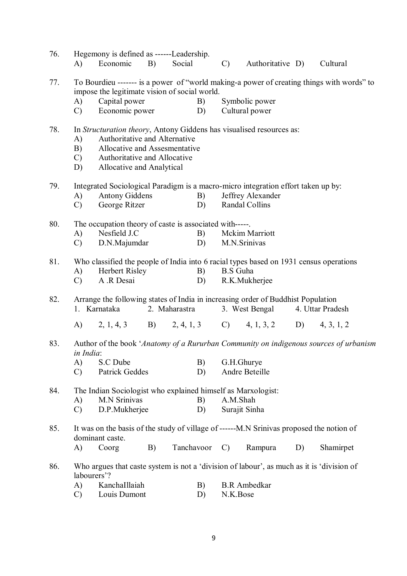| 76. | A)                                                     | Hegemony is defined as ------Leadership.<br>Economic                                                        | B) | Social        |          | $\mathcal{C}$                                                                             | Authoritative D)    |                  | Cultural  |  |  |  |
|-----|--------------------------------------------------------|-------------------------------------------------------------------------------------------------------------|----|---------------|----------|-------------------------------------------------------------------------------------------|---------------------|------------------|-----------|--|--|--|
| 77. |                                                        |                                                                                                             |    |               |          | To Bourdieu ------- is a power of "world making-a power of creating things with words" to |                     |                  |           |  |  |  |
|     |                                                        | impose the legitimate vision of social world.<br>Capital power                                              |    |               |          |                                                                                           |                     |                  |           |  |  |  |
|     | A)<br>$\mathcal{C}$                                    | Symbolic power<br>B)<br>Economic power<br>D)<br>Cultural power                                              |    |               |          |                                                                                           |                     |                  |           |  |  |  |
|     |                                                        |                                                                                                             |    |               |          |                                                                                           |                     |                  |           |  |  |  |
| 78. |                                                        | In Structuration theory, Antony Giddens has visualised resources as:                                        |    |               |          |                                                                                           |                     |                  |           |  |  |  |
|     | A)                                                     | Authoritative and Alternative                                                                               |    |               |          |                                                                                           |                     |                  |           |  |  |  |
|     | B)                                                     | Allocative and Assesmentative                                                                               |    |               |          |                                                                                           |                     |                  |           |  |  |  |
|     | $\mathcal{C}$ )                                        | Authoritative and Allocative                                                                                |    |               |          |                                                                                           |                     |                  |           |  |  |  |
|     | D)                                                     | Allocative and Analytical                                                                                   |    |               |          |                                                                                           |                     |                  |           |  |  |  |
| 79. |                                                        | Integrated Sociological Paradigm is a macro-micro integration effort taken up by:                           |    |               |          |                                                                                           |                     |                  |           |  |  |  |
|     | A)                                                     | <b>Antony Giddens</b>                                                                                       |    | B)            |          |                                                                                           | Jeffrey Alexander   |                  |           |  |  |  |
|     | George Ritzer<br>Randal Collins<br>$\mathcal{C}$<br>D) |                                                                                                             |    |               |          |                                                                                           |                     |                  |           |  |  |  |
|     |                                                        |                                                                                                             |    |               |          |                                                                                           |                     |                  |           |  |  |  |
| 80. |                                                        | The occupation theory of caste is associated with------                                                     |    |               |          |                                                                                           |                     |                  |           |  |  |  |
|     | A)                                                     | Nesfield J.C                                                                                                |    |               | B)       |                                                                                           | Mckim Marriott      |                  |           |  |  |  |
|     | $\mathcal{C}$                                          | D.N.Majumdar                                                                                                |    | D)            |          | M.N.Srinivas                                                                              |                     |                  |           |  |  |  |
| 81. |                                                        | Who classified the people of India into 6 racial types based on 1931 census operations                      |    |               |          |                                                                                           |                     |                  |           |  |  |  |
|     | A)                                                     | Herbert Risley                                                                                              |    | B)            |          | <b>B.S</b> Guha                                                                           |                     |                  |           |  |  |  |
|     | $\mathcal{C}$                                          | A .R Desai                                                                                                  |    | D)            |          |                                                                                           | R.K.Mukherjee       |                  |           |  |  |  |
|     |                                                        |                                                                                                             |    |               |          |                                                                                           |                     |                  |           |  |  |  |
| 82. |                                                        |                                                                                                             |    |               |          | Arrange the following states of India in increasing order of Buddhist Population          |                     |                  |           |  |  |  |
|     |                                                        | 1. Karnataka                                                                                                |    | 2. Maharastra |          |                                                                                           | 3. West Bengal      | 4. Uttar Pradesh |           |  |  |  |
|     |                                                        | A) 2, 1, 4, 3 B) 2, 4, 1, 3 C) 4, 1, 3, 2 D) 4, 3, 1, 2                                                     |    |               |          |                                                                                           |                     |                  |           |  |  |  |
| 83. | in India:                                              |                                                                                                             |    |               |          | Author of the book 'Anatomy of a Rururban Community on indigenous sources of urbanism     |                     |                  |           |  |  |  |
|     | A)                                                     | S.C Dube                                                                                                    |    | B)            |          | G.H.Ghurye                                                                                |                     |                  |           |  |  |  |
|     | $\mathcal{C}$                                          | Patrick Geddes                                                                                              |    | D)            |          |                                                                                           | Andre Beteille      |                  |           |  |  |  |
|     |                                                        |                                                                                                             |    |               |          |                                                                                           |                     |                  |           |  |  |  |
| 84. |                                                        | The Indian Sociologist who explained himself as Marxologist:                                                |    |               |          |                                                                                           |                     |                  |           |  |  |  |
|     | A)                                                     | <b>M.N Srinivas</b>                                                                                         |    | B)            |          | A.M.Shah                                                                                  |                     |                  |           |  |  |  |
|     | $\mathcal{C}$                                          | D.P.Mukherjee                                                                                               |    | D)            |          | Surajit Sinha                                                                             |                     |                  |           |  |  |  |
| 85. |                                                        | It was on the basis of the study of village of ------M.N Srinivas proposed the notion of<br>dominant caste. |    |               |          |                                                                                           |                     |                  |           |  |  |  |
|     | A)                                                     | Coorg                                                                                                       | B) | Tanchavoor    |          | $\mathcal{C}$                                                                             | Rampura             | D)               | Shamirpet |  |  |  |
|     |                                                        |                                                                                                             |    |               |          |                                                                                           |                     |                  |           |  |  |  |
| 86. | labourers'?                                            |                                                                                                             |    |               |          | Who argues that caste system is not a 'division of labour', as much as it is 'division of |                     |                  |           |  |  |  |
|     | A)                                                     | KanchaIllaiah                                                                                               |    | B)            |          |                                                                                           | <b>B.R</b> Ambedkar |                  |           |  |  |  |
|     | $\mathcal{C}$                                          | Louis Dumont                                                                                                | D) |               | N.K.Bose |                                                                                           |                     |                  |           |  |  |  |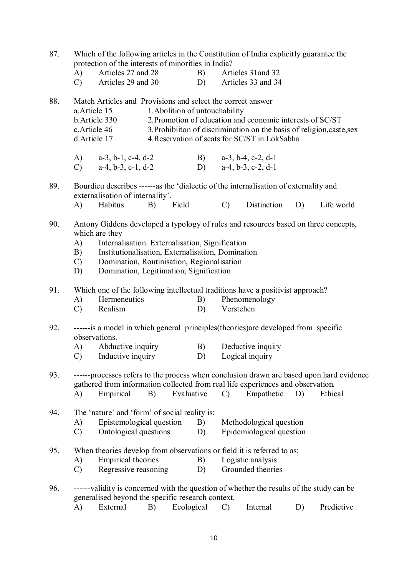| 87. | Which of the following articles in the Constitution of India explicitly guarantee the<br>protection of the interests of minorities in India?                                                                                                                                                                                                |                                                                                                                                                |    |            |          |                                                                                                                                                                                                                       |                                                             |    |                                                                                          |  |  |
|-----|---------------------------------------------------------------------------------------------------------------------------------------------------------------------------------------------------------------------------------------------------------------------------------------------------------------------------------------------|------------------------------------------------------------------------------------------------------------------------------------------------|----|------------|----------|-----------------------------------------------------------------------------------------------------------------------------------------------------------------------------------------------------------------------|-------------------------------------------------------------|----|------------------------------------------------------------------------------------------|--|--|
|     | A)<br>$\mathcal{C}$                                                                                                                                                                                                                                                                                                                         | Articles 27 and 28<br>Articles 29 and 30                                                                                                       |    |            | B)<br>D) |                                                                                                                                                                                                                       | Articles 31 and 32<br>Articles 33 and 34                    |    |                                                                                          |  |  |
| 88. | Match Articles and Provisions and select the correct answer<br>a. Article 15<br>b. Article 330<br>c. Article 46<br>d. Article 17                                                                                                                                                                                                            |                                                                                                                                                |    |            |          | 1. Abolition of untouchability<br>2. Promotion of education and economic interests of SC/ST<br>3. Prohibiiton of discrimination on the basis of religion, caste, sex<br>4. Reservation of seats for SC/ST in LokSabha |                                                             |    |                                                                                          |  |  |
|     | (A)<br>$\mathcal{C}$ )                                                                                                                                                                                                                                                                                                                      | $a-3$ , b-1, c-4, d-2<br>$a-4, b-3, c-1, d-2$                                                                                                  |    |            |          |                                                                                                                                                                                                                       | B) $a-3$ , $b-4$ , $c-2$ , $d-1$<br>D) $a-4, b-3, c-2, d-1$ |    |                                                                                          |  |  |
| 89. |                                                                                                                                                                                                                                                                                                                                             | Bourdieu describes ------as the 'dialectic of the internalisation of externality and<br>externalisation of internality'.                       |    |            |          |                                                                                                                                                                                                                       | Distinction                                                 |    |                                                                                          |  |  |
|     | A)                                                                                                                                                                                                                                                                                                                                          | Habitus                                                                                                                                        | B) | Field      |          | $\mathcal{C}$                                                                                                                                                                                                         |                                                             | D) | Life world                                                                               |  |  |
| 90. | Antony Giddens developed a typology of rules and resources based on three concepts,<br>which are they<br>Internalisation. Externalisation, Signification<br>A)<br>Institutionalisation, Externalisation, Domination<br>B)<br>Domination, Routinisation, Regionalisation<br>$\mathcal{C}$ )<br>Domination, Legitimation, Signification<br>D) |                                                                                                                                                |    |            |          |                                                                                                                                                                                                                       |                                                             |    |                                                                                          |  |  |
| 91. | A)                                                                                                                                                                                                                                                                                                                                          | Which one of the following intellectual traditions have a positivist approach?<br>Hermeneutics                                                 |    |            | B)       |                                                                                                                                                                                                                       | Phenomenology                                               |    |                                                                                          |  |  |
|     | $\mathcal{C}$                                                                                                                                                                                                                                                                                                                               | Realism                                                                                                                                        |    |            | D)       | Verstehen                                                                                                                                                                                                             |                                                             |    |                                                                                          |  |  |
| 92. | A)<br>$\mathcal{C}$                                                                                                                                                                                                                                                                                                                         | ------is a model in which general principles (theories) are developed from specific<br>observations.<br>Abductive inquiry<br>Inductive inquiry |    |            | B)<br>D) |                                                                                                                                                                                                                       | Deductive inquiry<br>Logical inquiry                        |    |                                                                                          |  |  |
| 93. |                                                                                                                                                                                                                                                                                                                                             |                                                                                                                                                |    |            |          |                                                                                                                                                                                                                       |                                                             |    | ------processes refers to the process when conclusion drawn are based upon hard evidence |  |  |
|     |                                                                                                                                                                                                                                                                                                                                             | gathered from information collected from real life experiences and observation.                                                                |    |            |          |                                                                                                                                                                                                                       |                                                             |    |                                                                                          |  |  |
|     | A)                                                                                                                                                                                                                                                                                                                                          | Empirical                                                                                                                                      | B) | Evaluative |          | $\mathcal{C}$                                                                                                                                                                                                         | Empathetic                                                  | D) | Ethical                                                                                  |  |  |
| 94. | A)<br>$\mathcal{C}$                                                                                                                                                                                                                                                                                                                         | The 'nature' and 'form' of social reality is:<br>Epistemological question<br>Ontological questions                                             |    |            | B)<br>D) |                                                                                                                                                                                                                       | Methodological question<br>Epidemiological question         |    |                                                                                          |  |  |
| 95. | A)<br>$\mathcal{C}$                                                                                                                                                                                                                                                                                                                         | When theories develop from observations or field it is referred to as:<br>Empirical theories<br>Regressive reasoning                           |    |            | B)<br>D) |                                                                                                                                                                                                                       | Logistic analysis<br>Grounded theories                      |    |                                                                                          |  |  |
| 96. |                                                                                                                                                                                                                                                                                                                                             | -----validity is concerned with the question of whether the results of the study can be<br>generalised beyond the specific research context.   |    |            |          |                                                                                                                                                                                                                       |                                                             |    |                                                                                          |  |  |
|     | A)                                                                                                                                                                                                                                                                                                                                          | External                                                                                                                                       | B) | Ecological |          | $\mathcal{C}$                                                                                                                                                                                                         | Internal                                                    | D) | Predictive                                                                               |  |  |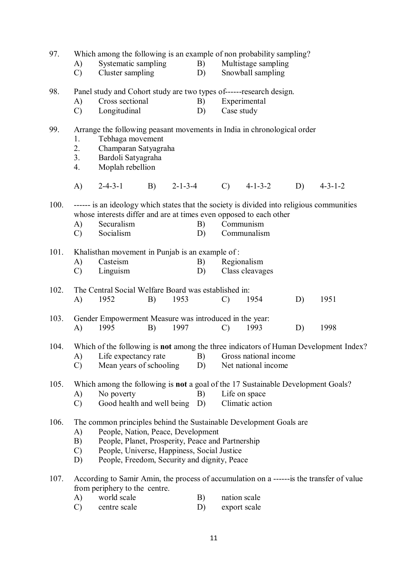| 97.  | Which among the following is an example of non probability sampling?                 |                                                                                                                                                                 |    |                 |    |                       |                     |    |                                                                                            |  |  |  |
|------|--------------------------------------------------------------------------------------|-----------------------------------------------------------------------------------------------------------------------------------------------------------------|----|-----------------|----|-----------------------|---------------------|----|--------------------------------------------------------------------------------------------|--|--|--|
|      | A)                                                                                   | Systematic sampling                                                                                                                                             |    |                 | B) |                       | Multistage sampling |    |                                                                                            |  |  |  |
|      | $\mathcal{C}$                                                                        | Cluster sampling                                                                                                                                                |    |                 | D) |                       | Snowball sampling   |    |                                                                                            |  |  |  |
| 98.  | Panel study and Cohort study are two types of------research design.                  |                                                                                                                                                                 |    |                 |    |                       |                     |    |                                                                                            |  |  |  |
|      | A)                                                                                   | Cross sectional                                                                                                                                                 |    |                 | B) |                       | Experimental        |    |                                                                                            |  |  |  |
|      | $\mathcal{C}$                                                                        | Longitudinal                                                                                                                                                    |    |                 | D) | Case study            |                     |    |                                                                                            |  |  |  |
| 99.  |                                                                                      | Arrange the following peasant movements in India in chronological order                                                                                         |    |                 |    |                       |                     |    |                                                                                            |  |  |  |
|      | Tebhaga movement<br>1.                                                               |                                                                                                                                                                 |    |                 |    |                       |                     |    |                                                                                            |  |  |  |
|      |                                                                                      | 2.<br>Champaran Satyagraha                                                                                                                                      |    |                 |    |                       |                     |    |                                                                                            |  |  |  |
|      | 3.                                                                                   | Bardoli Satyagraha                                                                                                                                              |    |                 |    |                       |                     |    |                                                                                            |  |  |  |
|      | 4.                                                                                   | Moplah rebellion                                                                                                                                                |    |                 |    |                       |                     |    |                                                                                            |  |  |  |
|      | A)                                                                                   | $2 - 4 - 3 - 1$                                                                                                                                                 | B) | $2 - 1 - 3 - 4$ |    | $\mathcal{C}$         | $4 - 1 - 3 - 2$     | D) | $4 - 3 - 1 - 2$                                                                            |  |  |  |
| 100. |                                                                                      | ------ is an ideology which states that the society is divided into religious communities<br>whose interests differ and are at times even opposed to each other |    |                 |    |                       |                     |    |                                                                                            |  |  |  |
|      | A)                                                                                   | Securalism                                                                                                                                                      |    |                 | B) |                       | Communism           |    |                                                                                            |  |  |  |
|      | $\mathcal{C}$                                                                        | Socialism                                                                                                                                                       |    |                 | D) |                       | Communalism         |    |                                                                                            |  |  |  |
| 101. |                                                                                      | Khalisthan movement in Punjab is an example of:                                                                                                                 |    |                 |    |                       |                     |    |                                                                                            |  |  |  |
|      | A)                                                                                   | Casteism                                                                                                                                                        |    |                 | B) |                       | Regionalism         |    |                                                                                            |  |  |  |
|      | $\mathcal{C}$                                                                        | Linguism                                                                                                                                                        |    |                 | D) |                       | Class cleavages     |    |                                                                                            |  |  |  |
| 102. |                                                                                      | The Central Social Welfare Board was established in:                                                                                                            |    |                 |    |                       |                     |    |                                                                                            |  |  |  |
|      | A)                                                                                   | 1952                                                                                                                                                            | B) | 1953            |    | $\mathcal{C}$         | 1954                | D) | 1951                                                                                       |  |  |  |
| 103. |                                                                                      | Gender Empowerment Measure was introduced in the year:                                                                                                          |    |                 |    |                       |                     |    |                                                                                            |  |  |  |
|      | A)                                                                                   | 1995                                                                                                                                                            | B) | 1997            |    | $\mathcal{C}$         | 1993                | D) | 1998                                                                                       |  |  |  |
| 104. | Which of the following is not among the three indicators of Human Development Index? |                                                                                                                                                                 |    |                 |    |                       |                     |    |                                                                                            |  |  |  |
|      | A)                                                                                   | Life expectancy rate                                                                                                                                            |    |                 | B) | Gross national income |                     |    |                                                                                            |  |  |  |
|      | $\mathcal{C}$                                                                        | Mean years of schooling                                                                                                                                         |    |                 | D) |                       | Net national income |    |                                                                                            |  |  |  |
| 105. |                                                                                      | Which among the following is <b>not</b> a goal of the 17 Sustainable Development Goals?                                                                         |    |                 |    |                       |                     |    |                                                                                            |  |  |  |
|      | A)                                                                                   | No poverty                                                                                                                                                      |    |                 | B) |                       | Life on space       |    |                                                                                            |  |  |  |
|      |                                                                                      | Climatic action<br>$\mathcal{C}$<br>Good health and well being<br>D)                                                                                            |    |                 |    |                       |                     |    |                                                                                            |  |  |  |
| 106. |                                                                                      | The common principles behind the Sustainable Development Goals are                                                                                              |    |                 |    |                       |                     |    |                                                                                            |  |  |  |
|      | A)                                                                                   | People, Nation, Peace, Development                                                                                                                              |    |                 |    |                       |                     |    |                                                                                            |  |  |  |
|      |                                                                                      | People, Planet, Prosperity, Peace and Partnership<br>B)                                                                                                         |    |                 |    |                       |                     |    |                                                                                            |  |  |  |
|      | D)                                                                                   | People, Universe, Happiness, Social Justice<br>$\mathcal{C}$<br>People, Freedom, Security and dignity, Peace                                                    |    |                 |    |                       |                     |    |                                                                                            |  |  |  |
|      |                                                                                      |                                                                                                                                                                 |    |                 |    |                       |                     |    |                                                                                            |  |  |  |
| 107. |                                                                                      | from periphery to the centre.                                                                                                                                   |    |                 |    |                       |                     |    | According to Samir Amin, the process of accumulation on a ------- is the transfer of value |  |  |  |
|      | A)                                                                                   | world scale                                                                                                                                                     |    |                 | B) | nation scale          |                     |    |                                                                                            |  |  |  |
|      | $\mathcal{C}$                                                                        | centre scale                                                                                                                                                    |    |                 | D) |                       | export scale        |    |                                                                                            |  |  |  |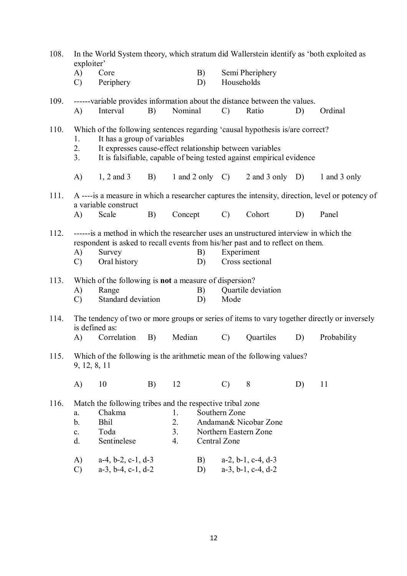| 108. | In the World System theory, which stratum did Wallerstein identify as 'both exploited as<br>exploiter'                                                                                                                                                                |                                                                                                                                                                             |                                                                                         |                                  |          |                               |                                                                                                                                                        |    |                                                                                                 |  |
|------|-----------------------------------------------------------------------------------------------------------------------------------------------------------------------------------------------------------------------------------------------------------------------|-----------------------------------------------------------------------------------------------------------------------------------------------------------------------------|-----------------------------------------------------------------------------------------|----------------------------------|----------|-------------------------------|--------------------------------------------------------------------------------------------------------------------------------------------------------|----|-------------------------------------------------------------------------------------------------|--|
|      | A)<br>$\mathcal{C}$                                                                                                                                                                                                                                                   | Core<br>Periphery                                                                                                                                                           |                                                                                         |                                  | B)<br>D) | Households                    | Semi Pheriphery                                                                                                                                        |    |                                                                                                 |  |
| 109. | A)                                                                                                                                                                                                                                                                    | Interval                                                                                                                                                                    | B)                                                                                      | Nominal                          |          | $\mathcal{C}$                 | ------variable provides information about the distance between the values.<br>Ratio                                                                    | D) | Ordinal                                                                                         |  |
| 110. | 1.<br>2.<br>3 <sub>1</sub>                                                                                                                                                                                                                                            |                                                                                                                                                                             | It has a group of variables<br>It expresses cause-effect relationship between variables |                                  |          |                               | Which of the following sentences regarding 'causal hypothesis is/are correct?<br>It is falsifiable, capable of being tested against empirical evidence |    |                                                                                                 |  |
|      | A)                                                                                                                                                                                                                                                                    | $1, 2$ and 3                                                                                                                                                                | B)                                                                                      |                                  |          | 1 and 2 only $C$ )            | 2 and 3 only $D$ )                                                                                                                                     |    | 1 and 3 only                                                                                    |  |
| 111. |                                                                                                                                                                                                                                                                       | a variable construct                                                                                                                                                        |                                                                                         |                                  |          |                               |                                                                                                                                                        |    | A ----is a measure in which a researcher captures the intensity, direction, level or potency of |  |
|      | A)                                                                                                                                                                                                                                                                    | Scale                                                                                                                                                                       | B)                                                                                      | Concept                          |          | $\mathcal{C}$                 | Cohort                                                                                                                                                 | D) | Panel                                                                                           |  |
| 112. | ------is a method in which the researcher uses an unstructured interview in which the<br>respondent is asked to recall events from his/her past and to reflect on them.<br>Experiment<br>A)<br>Survey<br>B)<br>Oral history<br>Cross sectional<br>$\mathcal{C}$<br>D) |                                                                                                                                                                             |                                                                                         |                                  |          |                               |                                                                                                                                                        |    |                                                                                                 |  |
| 113. | A)<br>$\mathcal{C}$                                                                                                                                                                                                                                                   | Which of the following is <b>not</b> a measure of dispersion?<br>Range<br>Standard deviation                                                                                |                                                                                         |                                  | B)<br>D) | Mode                          | Quartile deviation                                                                                                                                     |    |                                                                                                 |  |
| 114. |                                                                                                                                                                                                                                                                       | is defined as:                                                                                                                                                              |                                                                                         |                                  |          |                               |                                                                                                                                                        |    | The tendency of two or more groups or series of items to vary together directly or inversely    |  |
|      | A)                                                                                                                                                                                                                                                                    | Correlation                                                                                                                                                                 | B)                                                                                      | Median                           |          | $\mathcal{C}$                 | Quartiles                                                                                                                                              | D) | Probability                                                                                     |  |
| 115. | 9, 12, 8, 11                                                                                                                                                                                                                                                          |                                                                                                                                                                             |                                                                                         |                                  |          |                               | Which of the following is the arithmetic mean of the following values?                                                                                 |    |                                                                                                 |  |
|      | A)                                                                                                                                                                                                                                                                    | 10                                                                                                                                                                          | B)                                                                                      | 12                               |          | $\mathcal{C}$                 | 8                                                                                                                                                      | D) | 11                                                                                              |  |
| 116. | a.<br>b.<br>$\mathbf{c}.$<br>d.<br>A)<br>$\mathcal{C}$                                                                                                                                                                                                                | Match the following tribes and the respective tribal zone<br>Chakma<br><b>Bhil</b><br>Toda<br>Sentinelese<br>$a-4$ , $b-2$ , $c-1$ , $d-3$<br>$a-3$ , $b-4$ , $c-1$ , $d-2$ |                                                                                         | 1.<br>2.<br>3 <sub>1</sub><br>4. | B)<br>D) | Southern Zone<br>Central Zone | Andaman& Nicobar Zone<br>Northern Eastern Zone<br>$a-2$ , $b-1$ , $c-4$ , $d-3$<br>$a-3$ , $b-1$ , $c-4$ , $d-2$                                       |    |                                                                                                 |  |
|      |                                                                                                                                                                                                                                                                       |                                                                                                                                                                             |                                                                                         |                                  |          |                               |                                                                                                                                                        |    |                                                                                                 |  |